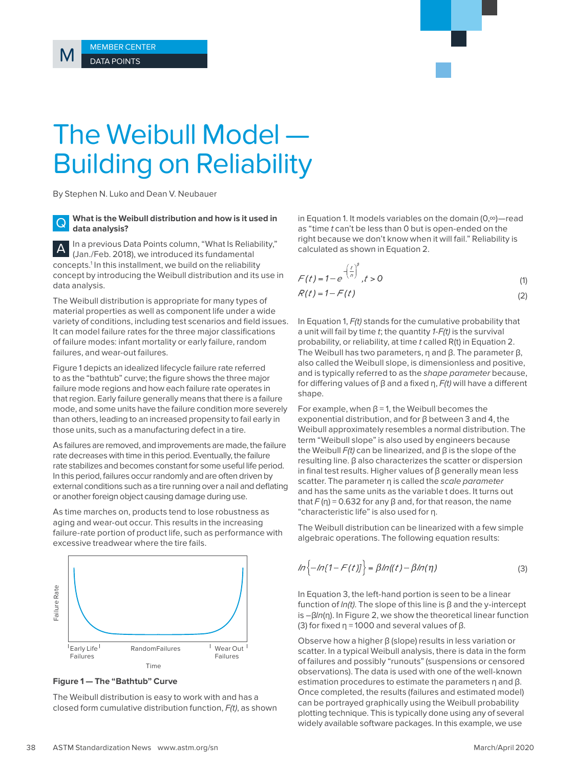# The Weibull Model — Building on Reliability

By Stephen N. Luko and Dean V. Neubauer

MEMBER CENTER<br>DATA POINTS

# Q **What is the Weibull distribution and how is it used in data analysis?**

A In a previous Data Points column, "What Is Reliability," (Jan./Feb. 2018), we introduced its fundamental concepts.<sup>1</sup> In this installment, we build on the reliability concept by introducing the Weibull distribution and its use in data analysis.

The Weibull distribution is appropriate for many types of material properties as well as component life under a wide variety of conditions, including test scenarios and field issues. It can model failure rates for the three major classifications of failure modes: infant mortality or early failure, random failures, and wear-out failures.

Figure 1 depicts an idealized lifecycle failure rate referred to as the "bathtub" curve; the figure shows the three major failure mode regions and how each failure rate operates in that region. Early failure generally means that there is a failure mode, and some units have the failure condition more severely than others, leading to an increased propensity to fail early in those units, such as a manufacturing defect in a tire.

As failures are removed, and improvements are made, the failure rate decreases with time in this period. Eventually, the failure rate stabilizes and becomes constant for some useful life period. In this period, failures occur randomly and are often driven by external conditions such as a tire running over a nail and deflating or another foreign object causing damage during use.

As time marches on, products tend to lose robustness as aging and wear-out occur. This results in the increasing failure-rate portion of product life, such as performance with excessive treadwear where the tire fails.



The Weibull distribution is easy to work with and has a closed form cumulative distribution function,  $F(t)$ , as shown in Equation 1. It models variables on the domain (0,∞)—read as "time t can't be less than 0 but is open-ended on the right because we don't know when it will fail." Reliability is calculated as shown in Equation 2.

$$
F(t) = 1 - e^{-\left(\frac{t}{n}\right)^{\beta}}, t > 0
$$
  
Q(t) = 1 - F(t) (2)

In Equation 1,  $F(t)$  stands for the cumulative probability that a unit will fail by time  $t$ ; the quantity  $1-F(t)$  is the survival probability, or reliability, at time  $t$  called  $R(t)$  in Equation 2. The Weibull has two parameters, η and β. The parameter β, also called the Weibull slope, is dimensionless and positive, and is typically referred to as the shape parameter because, for differing values of  $β$  and a fixed η,  $F(t)$  will have a different shape.

For example, when  $\beta$  = 1, the Weibull becomes the exponential distribution, and for β between 3 and 4, the Weibull approximately resembles a normal distribution. The term "Weibull slope" is also used by engineers because the Weibull  $F(t)$  can be linearized, and  $\beta$  is the slope of the resulting line. β also characterizes the scatter or dispersion in final test results. Higher values of β generally mean less scatter. The parameter η is called the scale parameter and has the same units as the variable t does. It turns out that  $F(n)$  = 0.632 for any  $\beta$  and, for that reason, the name "characteristic life" is also used for η.

The Weibull distribution can be linearized with a few simple algebraic operations. The following equation results:

$$
ln\{-ln[1-F(t)]\} = \beta ln((t) - \beta ln(\eta))
$$
\n(3)

In Equation 3, the left-hand portion is seen to be a linear function of  $ln(t)$ . The slope of this line is  $\beta$  and the y-intercept is –βln(η). In Figure 2, we show the theoretical linear function (3) for fixed  $η = 1000$  and several values of  $β$ .

Observe how a higher β (slope) results in less variation or scatter. In a typical Weibull analysis, there is data in the form of failures and possibly "runouts" (suspensions or censored observations). The data is used with one of the well-known estimation procedures to estimate the parameters η and β. Once completed, the results (failures and estimated model) can be portrayed graphically using the Weibull probability plotting technique. This is typically done using any of several widely available software packages. In this example, we use